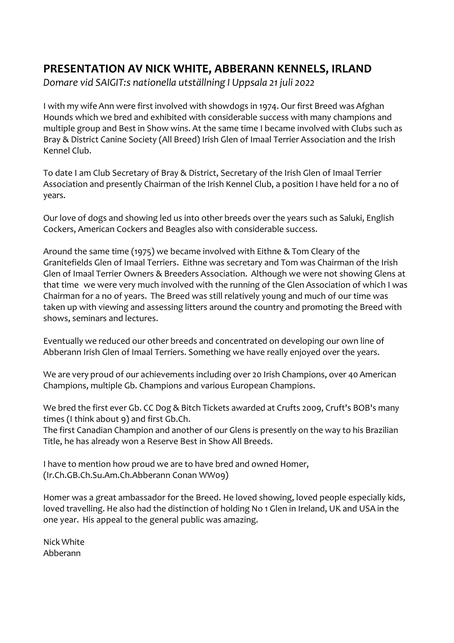## **PRESENTATION AV NICK WHITE, ABBERANN KENNELS, IRLAND**

*Domare vid SAIGIT:s nationella utställning I Uppsala 21 juli 2022*

I with my wife Ann were first involved with showdogs in 1974. Our first Breed was Afghan Hounds which we bred and exhibited with considerable success with many champions and multiple group and Best in Show wins. At the same time I became involved with Clubs such as Bray & District Canine Society (All Breed) Irish Glen of Imaal Terrier Association and the Irish Kennel Club.

To date I am Club Secretary of Bray & District, Secretary of the Irish Glen of Imaal Terrier Association and presently Chairman of the Irish Kennel Club, a position I have held for a no of years.

Our love of dogs and showing led us into other breeds over the years such as Saluki, English Cockers, American Cockers and Beagles also with considerable success.

Around the same time (1975) we became involved with Eithne & Tom Cleary of the Granitefields Glen of Imaal Terriers. Eithne was secretary and Tom was Chairman of the Irish Glen of Imaal Terrier Owners & Breeders Association. Although we were not showing Glens at that time we were very much involved with the running of the Glen Association of which I was Chairman for a no of years. The Breed was still relatively young and much of our time was taken up with viewing and assessing litters around the country and promoting the Breed with shows, seminars and lectures.

Eventually we reduced our other breeds and concentrated on developing our own line of Abberann Irish Glen of Imaal Terriers. Something we have really enjoyed over the years.

We are very proud of our achievements including over 20 Irish Champions, over 40 American Champions, multiple Gb. Champions and various European Champions.

We bred the first ever Gb. CC Dog & Bitch Tickets awarded at Crufts 2009, Cruft's BOB's many times (I think about 9) and first Gb.Ch.

The first Canadian Champion and another of our Glens is presently on the way to his Brazilian Title, he has already won a Reserve Best in Show All Breeds.

I have to mention how proud we are to have bred and owned Homer, (Ir.Ch.GB.Ch.Su.Am.Ch.Abberann Conan WW09)

Homer was a great ambassador for the Breed. He loved showing, loved people especially kids, loved travelling. He also had the distinction of holding No 1 Glen in Ireland, UK and USA in the one year. His appeal to the general public was amazing.

Nick White Abberann